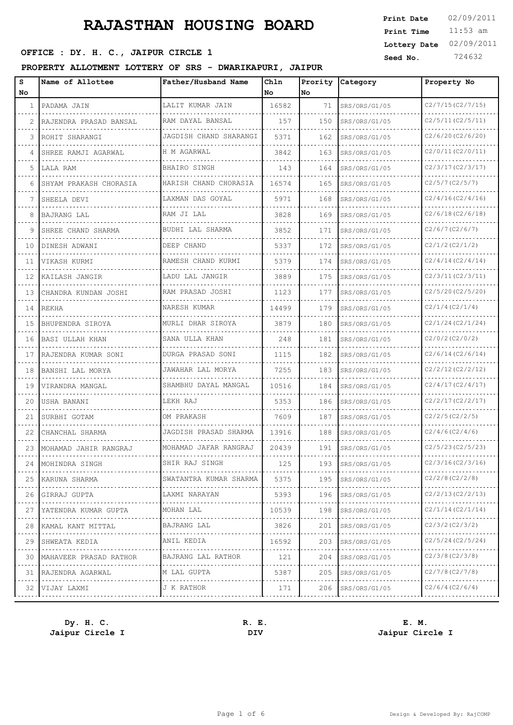### **SEED OFFICE : DY. H. C., JAIPUR CIRCLE 1 Seed No.** 724632

#### **PROPERTY ALLOTMENT LOTTERY OF SRS - DWARIKAPURI, JAIPUR**

| s<br>No | Name of Allottee       | Father/Husband Name    | Chln<br>l No | Prority<br>No. | Category      | Property No                  |
|---------|------------------------|------------------------|--------------|----------------|---------------|------------------------------|
| 1       | PADAMA JAIN            | LALIT KUMAR JAIN       | 16582        | 71             | SRS/ORS/G1/05 | C2/7/15(C2/7/15)             |
| 2       | RAJENDRA PRASAD BANSAL | RAM DAYAL BANSAL       | 157          | 150            | SRS/ORS/G1/05 | C2/5/11(C2/5/11)             |
| 3       | ROHIT SHARANGI         | JAGDISH CHAND SHARANGI | 5371         | 162            | SRS/ORS/G1/05 | C2/6/20(C2/6/20)             |
| 4       | SHREE RAMJI AGARWAL    | H M AGARWAL            | 3842         | 163            | SRS/ORS/G1/05 | C2/0/11(C2/0/11)             |
| 5       | LALA RAM               | <b>BHAIRO SINGH</b>    | 143          | 164            | SRS/ORS/G1/05 | C2/3/17(C2/3/17)             |
| 6       | SHYAM PRAKASH CHORASIA | HARISH CHAND CHORASIA  | 16574        | 165            | SRS/ORS/G1/05 | C2/5/7(C2/5/7)               |
| 7       | SHEELA DEVI            | LAXMAN DAS GOYAL       | 5971         | 168            | SRS/ORS/G1/05 | C2/4/16(C2/4/16)             |
| 8       | <b>BAJRANG LAL</b>     | RAM JI LAL             | 3828         | 169            | SRS/ORS/G1/05 | C2/6/18(C2/6/18)             |
| 9       | SHREE CHAND SHARMA     | BUDHI LAL SHARMA       | 3852         | 171            | SRS/ORS/G1/05 | C2/6/7(C2/6/7)               |
| 10      | DINESH ADWANI          | DEEP CHAND             | 5337         | 172            | SRS/ORS/G1/05 | C2/1/2(C2/1/2)               |
| 11      | VIKASH KURMI           | RAMESH CHAND KURMI     | 5379         | 174            | SRS/ORS/G1/05 | C2/4/14(C2/4/14)             |
| 12      | KAILASH JANGIR         | LADU LAL JANGIR        | 3889         | 175            | SRS/ORS/G1/05 | C2/3/11(C2/3/11)             |
| 13      | CHANDRA KUNDAN JOSHI   | RAM PRASAD JOSHI       | 1123         | 177            | SRS/ORS/G1/05 | C2/5/20(C2/5/20)             |
| 14      | <b>REKHA</b>           | NARESH KUMAR           | 14499        | 179            | SRS/ORS/G1/05 | C2/1/4(C2/1/4)               |
| 15      | BHUPENDRA SIROYA       | MURLI DHAR SIROYA      | 3879         | 180            | SRS/ORS/G1/05 | C2/1/24(C2/1/24)             |
| 16      | BASI ULLAH KHAN        | SANA ULLA KHAN         | 248          | 181            | SRS/ORS/G1/05 | C2/0/2(C2/0/2)               |
| 17      | RAJENDRA KUMAR SONI    | DURGA PRASAD SONI      | 1115         | 182            | SRS/ORS/G1/05 | C2/6/14(C2/6/14)             |
| 18      | BANSHI LAL MORYA       | JAWAHAR LAL MORYA      | 7255         | 183            | SRS/ORS/G1/05 | C2/2/12(C2/2/12)             |
| 19      | VIRANDRA MANGAL        | SHAMBHU DAYAL MANGAL   | 10516        | 184            | SRS/ORS/G1/05 | C2/4/17(C2/4/17)             |
| 20      | USHA BANANI            | LEKH RAJ               | 5353         | 186            | SRS/ORS/G1/05 | C2/2/17(C2/2/17)             |
| 21      | SURBHI GOTAM           | OM PRAKASH             | 7609         | 187            | SRS/ORS/G1/05 | C2/2/5 (C2/2/5)              |
| 22      | CHANCHAL SHARMA        | JAGDISH PRASAD SHARMA  | 13916        | 188            | SRS/ORS/G1/05 | C2/4/6(C2/4/6)               |
| 23      | MOHAMAD JAHIR RANGRAJ  | MOHAMAD JAFAR RANGRAJ  | 20439        | 191            | SRS/ORS/G1/05 | C2/5/23 (C2/5/23)            |
| 24      | MOHINDRA SINGH         | SHIR RAJ SINGH         | 125          | 193            | SRS/ORS/G1/05 | C2/3/16(C2/3/16)             |
| 25      | KARUNA SHARMA<br>.     | SWATANTRA KUMAR SHARMA | 5375         | 195            | SRS/ORS/G1/05 | C2/2/8(C2/2/8)               |
| 26      | GIRRAJ GUPTA           | LAXMI NARAYAN          | 5393         | 196            | SRS/ORS/G1/05 | C2/2/13(C2/2/13)             |
| 27      | YATENDRA KUMAR GUPTA   | MOHAN LAL<br>.         | 10539        | 198            | SRS/ORS/G1/05 | C2/1/14(C2/1/14)<br>.        |
| 28      | KAMAL KANT MITTAL      | BAJRANG LAL            | 3826         | 201            | SRS/ORS/G1/05 | C2/3/2 (C2/3/2)              |
| 29      | SHWEATA KEDIA<br>.     | ANIL KEDIA<br>.        | 16592        | 203            | SRS/ORS/G1/05 | C2/5/24 (C2/5/24)<br>.       |
| 30      | MAHAVEER PRASAD RATHOR | BAJRANG LAL RATHOR     | 121          | 204            | SRS/ORS/G1/05 | C2/3/8(C2/3/8)               |
| 31      | RAJENDRA AGARWAL       | M LAL GUPTA<br>.       | 5387         | 205            | SRS/ORS/G1/05 | C2/7/8(C2/7/8)<br><b>.</b> . |
| 32      | VIJAY LAXMI            | J K RATHOR             | 171          | 206            | SRS/ORS/G1/05 | C2/6/4(C2/6/4)               |
|         |                        |                        |              |                |               |                              |

**Jaipur Circle I DIV Jaipur Circle I**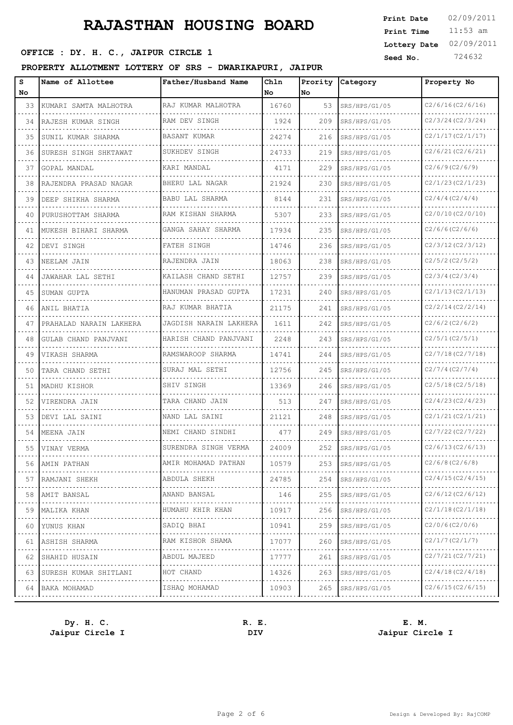# **SEED OFFICE : DY. H. C., JAIPUR CIRCLE 1 Seed No.** 724632

#### **PROPERTY ALLOTMENT LOTTERY OF SRS - DWARIKAPURI, JAIPUR**

| s<br>No | Name of Allottee           | Father/Husband Name    | Chln<br>No | Prority<br>lNo. | Category      | Property No       |
|---------|----------------------------|------------------------|------------|-----------------|---------------|-------------------|
| 33      | KUMARI SAMTA MALHOTRA      | RAJ KUMAR MALHOTRA     | 16760      | 53              | SRS/HPS/G1/05 | C2/6/16(C2/6/16)  |
| 34      | RAJESH KUMAR SINGH         | RAM DEV SINGH          | 1924       | 209             | SRS/HPS/G1/05 | C2/3/24(C2/3/24)  |
| 35      | SUNIL KUMAR SHARMA         | BASANT KUMAR           | 24274      | 216             | SRS/HPS/G1/05 | C2/1/17(C2/1/17)  |
| 36      | SURESH SINGH SHKTAWAT      | SUKHDEV SINGH          | 24733      | 219             | SRS/HPS/G1/05 | C2/6/21(C2/6/21)  |
| 37      | GOPAL MANDAL               | KARI MANDAL            | 4171       | 229             | SRS/HPS/G1/05 | C2/6/9(C2/6/9)    |
| 38      | RAJENDRA PRASAD NAGAR      | BHERU LAL NAGAR        | 21924      | 230             | SRS/HPS/G1/05 | C2/1/23(C2/1/23)  |
| 39      | DEEP SHIKHA SHARMA         | BABU LAL SHARMA        | 8144       | 231             | SRS/HPS/G1/05 | C2/4/4(C2/4/4)    |
| 40      | PURUSHOTTAM SHARMA         | RAM KISHAN SHARMA      | 5307       | 233             | SRS/HPS/G1/05 | C2/0/10(C2/0/10)  |
| 41      | MUKESH BIHARI SHARMA       | GANGA SAHAY SHARMA     | 17934      | 235             | SRS/HPS/G1/05 | C2/6/6(C2/6/6)    |
| 42      | DEVI SINGH                 | FATEH SINGH            | 14746      | 236             | SRS/HPS/G1/05 | C2/3/12(C2/3/12)  |
| 43      | NEELAM JAIN                | RAJENDRA JAIN          | 18063      | 238             | SRS/HPS/G1/05 | C2/5/2 (C2/5/2)   |
| 44      | JAWAHAR LAL SETHI          | KAILASH CHAND SETHI    | 12757      | 239             | SRS/HPS/G1/05 | C2/3/4(C2/3/4)    |
| 45      | SUMAN GUPTA                | HANUMAN PRASAD GUPTA   | 17231      | 240             | SRS/HPS/G1/05 | C2/1/13(C2/1/13)  |
| 46      | ANIL BHATIA                | RAJ KUMAR BHATIA       | 21175      | 241             | SRS/HPS/G1/05 | C2/2/14(C2/2/14)  |
| 47      | PRAHALAD NARAIN LAKHERA    | JAGDISH NARAIN LAKHERA | 1611       | 242             | SRS/HPS/G1/05 | C2/6/2(C2/6/2)    |
| 48      | GULAB CHAND PANJVANI       | HARISH CHAND PANJVANI  | 2248       | 243             | SRS/HPS/G1/05 | C2/5/1(C2/5/1)    |
| 49      | VIKASH SHARMA              | RAMSWAROOP SHARMA      | 14741      | 244             | SRS/HPS/G1/05 | C2/7/18(C2/7/18)  |
| 50      | TARA CHAND SETHI           | SURAJ MAL SETHI        | 12756      | 245             | SRS/HPS/G1/05 | C2/7/4(C2/7/4)    |
| 51      | MADHU KISHOR               | SHIV SINGH             | 13369      | 246             | SRS/HPS/G1/05 | C2/5/18(C2/5/18)  |
| 52      | VIRENDRA JAIN              | TARA CHAND JAIN        | 513        | 247             | SRS/HPS/G1/05 | C2/4/23(C2/4/23)  |
| 53      | DEVI LAL SAINI             | NAND LAL SAINI         | 21121      | 248             | SRS/HPS/G1/05 | C2/1/21(C2/1/21)  |
| 54      | MEENA JAIN                 | NEMI CHAND SINDHI      | 477        | 249             | SRS/HPS/G1/05 | C2/7/22 (C2/7/22) |
| 55      | VINAY VERMA                | SURENDRA SINGH VERMA   | 24009      | 252             | SRS/HPS/G1/05 | C2/6/13(C2/6/13)  |
| 56      | AMIN PATHAN                | AMIR MOHAMAD PATHAN    | 10579      | 253             | SRS/HPS/G1/05 | C2/6/8(C2/6/8)    |
|         | 57   RAMJANI SHEKH         | ABDULA SHEKH           | 24785      | 254             | SRS/HPS/G1/05 | C2/4/15(C2/4/15)  |
|         | 58   AMIT BANSAL           | ANAND BANSAL           | 146        | 255             | SRS/HPS/G1/05 | C2/6/12(C2/6/12)  |
|         | 59   MALIKA KHAN           | HUMAHU KHIR KHAN       | 10917      | 256             | SRS/HPS/G1/05 | C2/1/18(C2/1/18)  |
| 60 I    | YUNUS KHAN                 | SADIQ BHAI             | 10941      | 259             | SRS/HPS/G1/05 | C2/0/6(C2/0/6)    |
|         | 61   ASHISH SHARMA         | RAM KISHOR SHAMA       | 17077      | 260             | SRS/HPS/G1/05 | C2/1/7(C2/1/7)    |
| 62      | SHAHID HUSAIN              | ABDUL MAJEED           | 17777      | 261             | SRS/HPS/G1/05 | C2/7/21(C2/7/21)  |
|         | 63   SURESH KUMAR SHITLANI | HOT CHAND              | 14326      | 263             | SRS/HPS/G1/05 | C2/4/18(C2/4/18)  |
|         | 64 BAKA MOHAMAD            | ISHAQ MOHAMAD          | 10903      | 265             | SRS/HPS/G1/05 | C2/6/15(C2/6/15)  |
|         |                            |                        |            |                 |               |                   |

**Dy. H. C. R. E. E. M. Jaipur Circle I DIV Jaipur Circle I**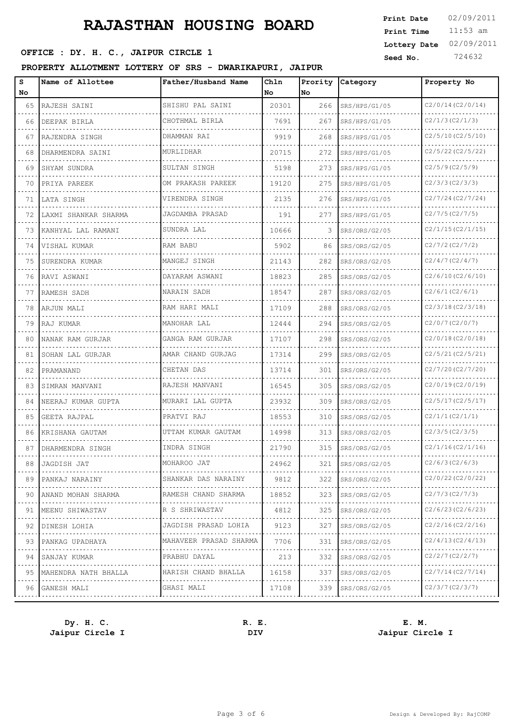### **SEED OFFICE : DY. H. C., JAIPUR CIRCLE 1 Seed No.** 724632

#### **PROPERTY ALLOTMENT LOTTERY OF SRS - DWARIKAPURI, JAIPUR**

| s<br>No | Name of Allottee     | Father/Husband Name      | Chln<br>No | Prority<br>No | Category           | Property No           |
|---------|----------------------|--------------------------|------------|---------------|--------------------|-----------------------|
| 65      | RAJESH SAINI         | SHISHU PAL SAINI         | 20301      | 266           | SRS/HPS/G1/05      | C2/0/14(C2/0/14)      |
| 66      | DEEPAK BIRLA         | CHOTHMAL BIRLA           | 7691       | 267           | SRS/HPS/G1/05      | C2/1/3(C2/1/3)        |
| 67      | RAJENDRA SINGH       | DHAMMAN RAI              | 9919       | 268           | SRS/HPS/G1/05      | C2/5/10(C2/5/10)      |
| 68      | DHARMENDRA SAINI     | MURLIDHAR                | 20715      | 272           | SRS/HPS/G1/05      | C2/5/22 (C2/5/22)     |
| 69      | SHYAM SUNDRA         | SULTAN SINGH             | 5198       | 273           | SRS/HPS/G1/05      | C2/5/9(C2/5/9)        |
| 70      | PRIYA PAREEK         | OM PRAKASH PAREEK        | 19120      | 275           | SRS/HPS/G1/05      | C2/3/3 (C2/3/3)       |
| 71      | LATA SINGH           | VIRENDRA SINGH           | 2135       | 276           | SRS/HPS/G1/05      | C2/7/24(C2/7/24)      |
| 72      | LAXMI SHANKAR SHARMA | JAGDAMBA PRASAD          | 191        | 277           | SRS/HPS/G1/05      | C2/7/5(C2/7/5)        |
| 73      | KANHYAL LAL RAMANI   | SUNDRA LAL               | 10666      | 3             | SRS/ORS/G2/05      | C2/1/15(C2/1/15)      |
| 74      | VISHAL KUMAR         | RAM BABU                 | 5902       | 86            | SRS/ORS/G2/05      | C2/7/2(C2/7/2)        |
| 75      | SURENDRA KUMAR       | MANGEJ SINGH             | 21143      | 282           | SRS/ORS/G2/05      | C2/4/7(C2/4/7)        |
| 76      | RAVI ASWANI          | DAYARAM ASWANI           | 18823      | 285           | SRS/ORS/G2/05      | C2/6/10(C2/6/10)      |
| 77      | RAMESH SADH          | NARAIN SADH              | 18547      | 287           | SRS/ORS/G2/05      | C2/6/1(C2/6/1)        |
| 78      | ARJUN MALI           | RAM HARI MALI            | 17109      | 288           | SRS/ORS/G2/05      | C2/3/18(C2/3/18)      |
| 79      | RAJ KUMAR            | MANOHAR LAL              | 12444      | 294           | SRS/ORS/G2/05      | C2/0/7(C2/0/7)        |
| 80      | NANAK RAM GURJAR     | GANGA RAM GURJAR         | 17107      | 298           | SRS/ORS/G2/05      | C2/0/18(C2/0/18)      |
| 81      | SOHAN LAL GURJAR     | AMAR CHAND GURJAG        | 17314      | 299           | SRS/ORS/G2/05      | C2/5/21(C2/5/21)      |
| 82      | PRAMANAND            | CHETAN DAS               | 13714      | 301           | SRS/ORS/G2/05      | C2/7/20(C2/7/20)      |
| 83      | SIMRAN MANVANI       | RAJESH MANVANI           | 16545      | 305           | SRS/ORS/G2/05      | C2/0/19(C2/0/19)      |
| 84      | NEERAJ KUMAR GUPTA   | MURARI LAL GUPTA         | 23932      | 309           | SRS/ORS/G2/05      | C2/5/17(C2/5/17)      |
| 85      | GEETA RAJPAL         | PRATVI RAJ               | 18553      | 310           | SRS/ORS/G2/05      | C2/1/1(C2/1/1)        |
| 86      | KRISHANA GAUTAM      | UTTAM KUMAR GAUTAM       | 14998      | 313           | SRS/ORS/G2/05      | C2/3/5 (C2/3/5)       |
| 87      | DHARMENDRA SINGH     | INDRA SINGH              | 21790      | 315           | SRS/ORS/G2/05      | C2/1/16(C2/1/16)      |
| 88      | JAGDISH JAT          | MOHAROO JAT              | 24962      | 321           | SRS/ORS/G2/05      | C2/6/3 (C2/6/3)       |
| 89<br>. | PANKAJ NARAINY<br>.  | SHANKAR DAS NARAINY      | 9812       | 322           | SRS/ORS/G2/05      | $C2/0/22$ (C2/0/22)   |
| 90      | ANAND MOHAN SHARMA   | RAMESH CHAND SHARMA      | 18852      | 323           | SRS/ORS/G2/05      | C2/7/3 (C2/7/3)       |
| 91      | MEENU SHIWASTAV      | R S SHRIWASTAV<br>.      | 4812       | 325           | SRS/ORS/G2/05<br>. | C2/6/23(C2/6/23)<br>. |
| 92      | DINESH LOHIA         | JAGDISH PRASAD LOHIA     | 9123       | 327           | SRS/ORS/G2/05      | C2/2/16(C2/2/16)      |
| 93<br>. | PANKAG UPADHAYA      | MAHAVEER PRASAD SHARMA   | 7706       | 331           | SRS/ORS/G2/05      | C2/4/13(C2/4/13)      |
| 94      | SANJAY KUMAR         | PRABHU DAYAL             | 213        | 332           | SRS/ORS/G2/05      | C2/2/7(C2/2/7)        |
| 95      | MAHENDRA NATH BHALLA | HARISH CHAND BHALLA<br>. | 16158      | 337           | SRS/ORS/G2/05      | C2/7/14(C2/7/14)      |
| 96      | GANESH MALI          | GHASI MALI               | 17108      | 339           | SRS/ORS/G2/05      | C2/3/7 (C2/3/7)       |
|         |                      |                          |            |               |                    |                       |

**Jaipur Circle I DIV Jaipur Circle I**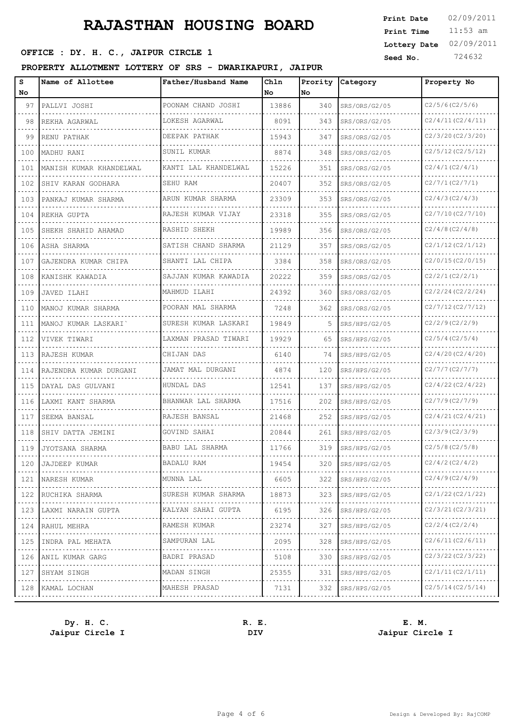### **SEED OFFICE : DY. H. C., JAIPUR CIRCLE 1 Seed No.** 724632

#### **PROPERTY ALLOTMENT LOTTERY OF SRS - DWARIKAPURI, JAIPUR**

| s<br>No                     | Name of Allottee        | Father/Husband Name  | Chln<br><b>No</b> | Prority<br>No. | Category      | Property No                                |
|-----------------------------|-------------------------|----------------------|-------------------|----------------|---------------|--------------------------------------------|
| 97                          | PALLVI JOSHI            | POONAM CHAND JOSHI   | 13886             | 340            | SRS/ORS/G2/05 | C2/5/6(C2/5/6)                             |
| 98                          | REKHA AGARWAL           | LOKESH AGARWAL       | 8091              | 343            | SRS/ORS/G2/05 | C2/4/11(C2/4/11)                           |
| 99                          | RENU PATHAK             | DEEPAK PATHAK        | 15943             | 347            | SRS/ORS/G2/05 | C2/3/20(C2/3/20)                           |
| 100                         | MADHU RANI              | SUNIL KUMAR          | 8874              | 348            | SRS/ORS/G2/05 | C2/5/12(C2/5/12)                           |
| 101                         | MANISH KUMAR KHANDELWAL | KANTI LAL KHANDELWAL | 15226             | 351            | SRS/ORS/G2/05 | C2/4/1(C2/4/1)                             |
| 102                         | SHIV KARAN GODHARA      | SEHU RAM             | 20407             | 352            | SRS/ORS/G2/05 | C2/7/1(C2/7/1)                             |
| 103                         | PANKAJ KUMAR SHARMA     | ARUN KUMAR SHARMA    | 23309             | 353            | SRS/ORS/G2/05 | C2/4/3 (C2/4/3)                            |
| 104                         | REKHA GUPTA             | RAJESH KUMAR VIJAY   | 23318             | 355            | SRS/ORS/G2/05 | C2/7/10(C2/7/10)                           |
| 105                         | SHEKH SHAHID AHAMAD     | RASHID SHEKH         | 19989             | 356            | SRS/ORS/G2/05 | C2/4/8(C2/4/8)                             |
| 106                         | ASHA SHARMA             | SATISH CHAND SHARMA  | 21129             | 357            | SRS/ORS/G2/05 | C2/1/12(C2/1/12)                           |
| 107                         | GAJENDRA KUMAR CHIPA    | SHANTI LAL CHIPA     | 3384              | 358            | SRS/ORS/G2/05 | C2/0/15(C2/0/15)                           |
| 108                         | KANISHK KAWADIA         | SAJJAN KUMAR KAWADIA | 20222             | 359            | SRS/ORS/G2/05 | C2/2/1(C2/2/1)                             |
| 109                         | JAVED ILAHI             | MAHMUD ILAHI         | 24392             | 360            | SRS/ORS/G2/05 | C2/2/24(C2/2/24)                           |
| 110                         | MANOJ KUMAR SHARMA      | POORAN MAL SHARMA    | 7248              | 362            | SRS/ORS/G2/05 | C2/7/12(C2/7/12)                           |
| 111                         | MANOJ KUMAR LASKARI     | SURESH KUMAR LASKARI | 19849             | 5              | SRS/HPS/G2/05 | C2/2/9(C2/2/9)                             |
| 112                         | VIVEK TIWARI            | LAXMAN PRASAD TIWARI | 19929             | 65             | SRS/HPS/G2/05 | C2/5/4(C2/5/4)                             |
| 113                         | RAJESH KUMAR            | CHIJAN DAS           | 6140              | 74             | SRS/HPS/G2/05 | C2/4/20(C2/4/20)                           |
| 114                         | RAJENDRA KUMAR DURGANI  | JAMAT MAL DURGANI    | 4874              | 120            | SRS/HPS/G2/05 | $C2/7/7$ (C2/7/7)                          |
| 115                         | DAYAL DAS GULVANI       | HUNDAL DAS           | 12541             | 137            | SRS/HPS/G2/05 | C2/4/22 (C2/4/22)                          |
| 116                         | LAXMI KANT SHARMA       | BHANWAR LAL SHARMA   | 17516             | 202            | SRS/HPS/G2/05 | C2/7/9(C2/7/9)                             |
| 117                         | SEEMA BANSAL            | RAJESH BANSAL        | 21468             | 252            | SRS/HPS/G2/05 | C2/4/21(C2/4/21)                           |
| 118                         | SHIV DATTA JEMINI       | GOVIND SAHAI         | 20844             | 261            | SRS/HPS/G2/05 | C2/3/9(C2/3/9)                             |
| 119                         | JYOTSANA SHARMA         | BABU LAL SHARMA      | 11766             | 319            | SRS/HPS/G2/05 | C2/5/8(C2/5/8)                             |
| 120                         | JAJDEEP KUMAR           | BADALU RAM           | 19454             | 320            | SRS/HPS/G2/05 | $C2/4/2$ (C2/4/2)                          |
| 121<br>.                    | NARESH KUMAR<br>.       | MUNNA LAL            | 6605              | 322            | SRS/HPS/G2/05 | C2/4/9(C2/4/9)                             |
| 122                         | RUCHIKA SHARMA          | SURESH KUMAR SHARMA  | 18873             | 323            | SRS/HPS/G2/05 | C <sub>2</sub> /1/22(C <sub>2</sub> /1/22) |
| 123                         | LAXMI NARAIN GUPTA      | KALYAN SAHAI GUPTA   | 6195              | 326            | SRS/HPS/G2/05 | C2/3/21(C2/3/21)                           |
| .<br>124                    | RAHUL MEHRA             | .<br>RAMESH KUMAR    | 23274             | 327            | SRS/HPS/G2/05 | .<br>C2/2/4(C2/2/4)                        |
| $\sim$ $\sim$ $\sim$<br>125 | INDRA PAL MEHATA        | SAMPURAN LAL<br>.    | 2095              | 328            | SRS/HPS/G2/05 | C2/6/11(C2/6/11)                           |
| .<br>126                    | ANIL KUMAR GARG         | BADRI PRASAD         | 5108              | 330            | SRS/HPS/G2/05 | C2/3/22 (C2/3/22)                          |
| 127                         | SHYAM SINGH             | MADAN SINGH<br>.     | 25355             | 331            | SRS/HPS/G2/05 | C2/1/11(C2/1/11)                           |
| 128                         | KAMAL LOCHAN            | MAHESH PRASAD        | 7131              | 332            | SRS/HPS/G2/05 | C2/5/14(C2/5/14)                           |
|                             |                         |                      |                   |                |               |                                            |

**Jaipur Circle I DIV Jaipur Circle I**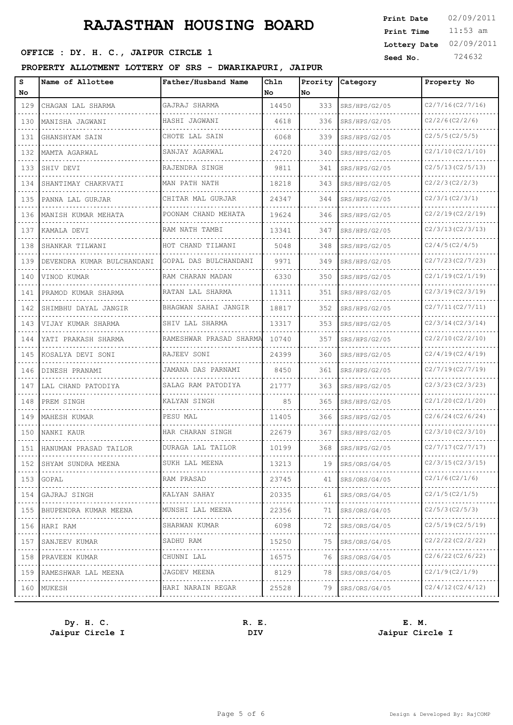### **SEED OFFICE : DY. H. C., JAIPUR CIRCLE 1 Seed No.** 724632

#### **PROPERTY ALLOTMENT LOTTERY OF SRS - DWARIKAPURI, JAIPUR**

| Name of Allottee           | Father/Husband Name                                  | Chln<br>No                 | Prority<br>No           | Category      | Property No       |
|----------------------------|------------------------------------------------------|----------------------------|-------------------------|---------------|-------------------|
| CHAGAN LAL SHARMA          | GAJRAJ SHARMA                                        | 14450                      | 333                     | SRS/HPS/G2/05 | C2/7/16(C2/7/16)  |
| MANISHA JAGWANI            | HASHI JAGWANI                                        | 4618                       | 336                     | SRS/HPS/G2/05 | C2/2/6(C2/2/6)    |
| GHANSHYAM SAIN             | CHOTE LAL SAIN                                       | 6068                       | 339                     | SRS/HPS/G2/05 | C2/5/5 (C2/5/5)   |
| MAMTA AGARWAL              | SANJAY AGARWAL                                       | 24720                      | 340                     | SRS/HPS/G2/05 | C2/1/10(C2/1/10)  |
| SHIV DEVI                  | RAJENDRA SINGH                                       | 9811                       | 341                     | SRS/HPS/G2/05 | C2/5/13(C2/5/13)  |
| SHANTIMAY CHAKRVATI        | MAN PATH NATH                                        | 18218                      | 343                     | SRS/HPS/G2/05 | C2/2/3 (C2/2/3)   |
| PANNA LAL GURJAR           | CHITAR MAL GURJAR                                    | 24347                      | 344                     | SRS/HPS/G2/05 | C2/3/1(C2/3/1)    |
| MANISH KUMAR MEHATA        | POONAM CHAND MEHATA                                  | 19624                      | 346                     | SRS/HPS/G2/05 | C2/2/19(C2/2/19)  |
| KAMALA DEVI                | RAM NATH TAMBI                                       | 13341                      | 347                     | SRS/HPS/G2/05 | C2/3/13(C2/3/13)  |
| SHANKAR TILWANI            | HOT CHAND TILWANI                                    | 5048                       | 348                     | SRS/HPS/G2/05 | C2/4/5(C2/4/5)    |
| DEVENDRA KUMAR BULCHANDANI | GOPAL DAS BULCHANDANI                                | 9971                       | 349                     | SRS/HPS/G2/05 | C2/7/23 (C2/7/23) |
| VINOD KUMAR                | RAM CHARAN MADAN                                     | 6330                       | 350                     | SRS/HPS/G2/05 | C2/1/19(C2/1/19)  |
| PRAMOD KUMAR SHARMA        | RATAN LAL SHARMA                                     | 11311                      | 351                     | SRS/HPS/G2/05 | C2/3/19(C2/3/19)  |
| SHIMBHU DAYAL JANGIR       | BHAGWAN SAHAI JANGIR                                 | 18817                      | 352                     | SRS/HPS/G2/05 | C2/7/11(C2/7/11)  |
| VIJAY KUMAR SHARMA         | SHIV LAL SHARMA                                      | 13317                      | 353                     | SRS/HPS/G2/05 | C2/3/14(C2/3/14)  |
| YATI PRAKASH SHARMA        |                                                      | 10740                      | 357                     | SRS/HPS/G2/05 | C2/2/10(C2/2/10)  |
| KOSALYA DEVI SONI          | RAJEEV SONI                                          | 24399                      | 360                     | SRS/HPS/G2/05 | C2/4/19(C2/4/19)  |
| DINESH PRANAMI             | JAMANA DAS PARNAMI                                   | 8450                       | 361                     | SRS/HPS/G2/05 | C2/7/19(C2/7/19)  |
| LAL CHAND PATODIYA         | SALAG RAM PATODIYA                                   | 21777                      | 363                     | SRS/HPS/G2/05 | C2/3/23 (C2/3/23) |
| PREM SINGH                 | KALYAN SINGH                                         | 85                         | 365                     | SRS/HPS/G2/05 | C2/1/20(C2/1/20)  |
| MAHESH KUMAR               | PESU MAL                                             | 11405                      | 366                     | SRS/HPS/G2/05 | C2/6/24(C2/6/24)  |
| NANKI KAUR                 | HAR CHARAN SINGH                                     | 22679                      | 367                     | SRS/HPS/G2/05 | C2/3/10(C2/3/10)  |
| HANUMAN PRASAD TAILOR      | DURAGA LAL TAILOR                                    | 10199                      | 368                     | SRS/HPS/G2/05 | C2/7/17(C2/7/17)  |
|                            | SUKH LAL MEENA                                       | 13213                      | 19                      | SRS/ORS/G4/05 | C2/3/15(C2/3/15)  |
| GOPAL                      | RAM PRASAD                                           | 23745                      | 41                      | SRS/ORS/G4/05 | C2/1/6(C2/1/6)    |
| GAJRAJ SINGH               | KALYAN SAHAY                                         | 20335                      | 61                      | SRS/ORS/G4/05 | C2/1/5(C2/1/5)    |
| BHUPENDRA KUMAR MEENA      | MUNSHI LAL MEENA                                     | 22356                      | 71                      | SRS/ORS/G4/05 | C2/5/3 (C2/5/3)   |
| HARI RAM                   | SHARWAN KUMAR                                        | 6098                       | 72                      | SRS/ORS/G4/05 | C2/5/19(C2/5/19)  |
| SANJEEV KUMAR              | SADHU RAM                                            | 15250                      | 75                      | SRS/ORS/G4/05 | C2/2/22 (C2/2/22) |
| PRAVEEN KUMAR              | CHUNNI LAL                                           | 16575                      | 76                      | SRS/ORS/G4/05 | C2/6/22 (C2/6/22) |
| RAMESHWAR LAL MEENA        | JAGDEV MEENA                                         | 8129                       | 78                      | SRS/ORS/G4/05 | C2/1/9(C2/1/9)    |
|                            | HARI NARAIN REGAR                                    | 25528                      | 79                      | SRS/ORS/G4/05 | C2/4/12(C2/4/12)  |
| 154<br>156<br>159          | 152 SHYAM SUNDRA MEENA<br>153<br>155<br>160   MUKESH | .<br>.<br>.<br>.<br>.<br>. | RAMESHWAR PRASAD SHARMA |               | .                 |

**Jaipur Circle I DIV Jaipur Circle I**